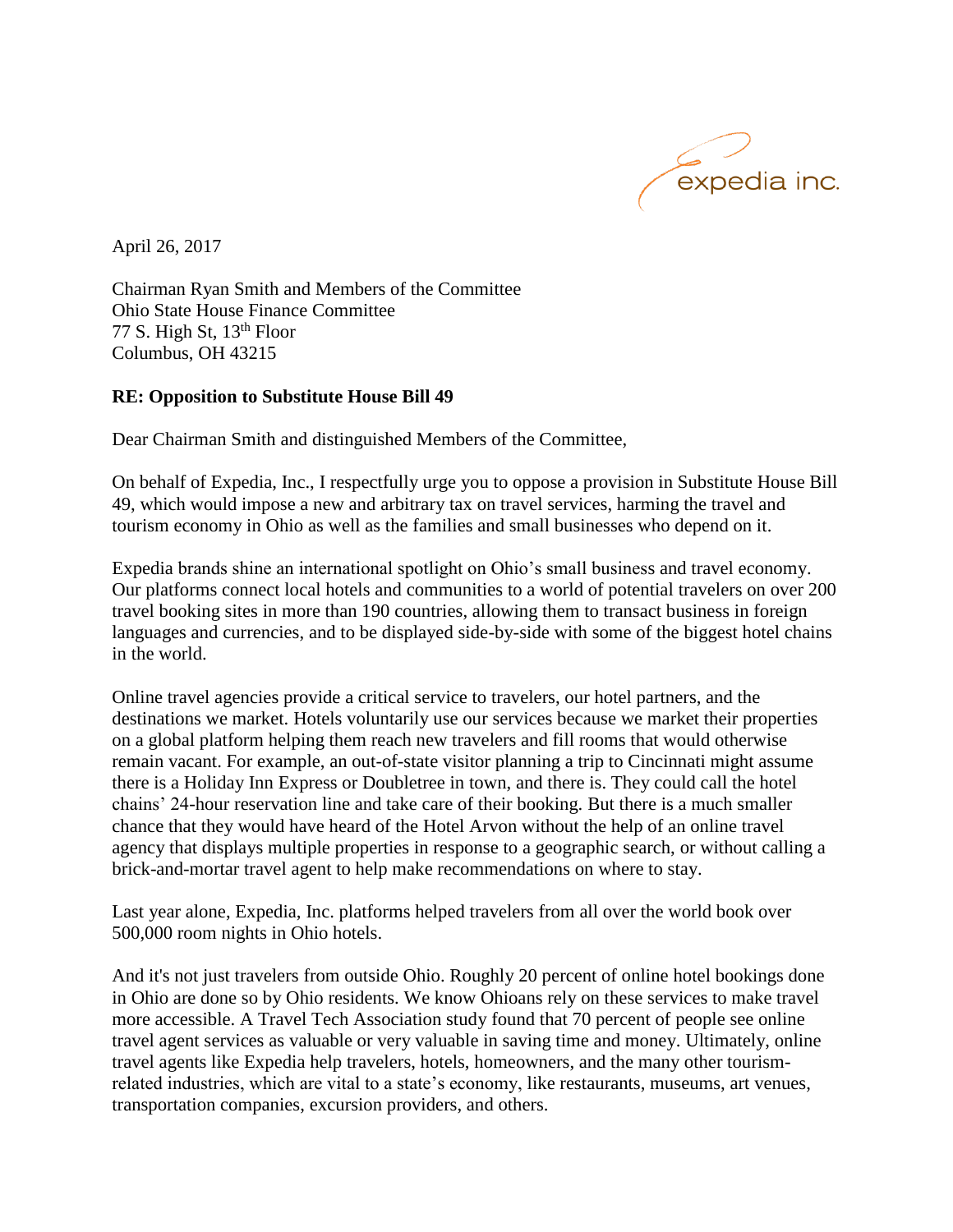

April 26, 2017

Chairman Ryan Smith and Members of the Committee Ohio State House Finance Committee 77 S. High St,  $13<sup>th</sup>$  Floor Columbus, OH 43215

## **RE: Opposition to Substitute House Bill 49**

Dear Chairman Smith and distinguished Members of the Committee,

On behalf of Expedia, Inc., I respectfully urge you to oppose a provision in Substitute House Bill 49, which would impose a new and arbitrary tax on travel services, harming the travel and tourism economy in Ohio as well as the families and small businesses who depend on it.

Expedia brands shine an international spotlight on Ohio's small business and travel economy. Our platforms connect local hotels and communities to a world of potential travelers on over 200 travel booking sites in more than 190 countries, allowing them to transact business in foreign languages and currencies, and to be displayed side-by-side with some of the biggest hotel chains in the world.

Online travel agencies provide a critical service to travelers, our hotel partners, and the destinations we market. Hotels voluntarily use our services because we market their properties on a global platform helping them reach new travelers and fill rooms that would otherwise remain vacant. For example, an out-of-state visitor planning a trip to Cincinnati might assume there is a Holiday Inn Express or Doubletree in town, and there is. They could call the hotel chains' 24-hour reservation line and take care of their booking. But there is a much smaller chance that they would have heard of the Hotel Arvon without the help of an online travel agency that displays multiple properties in response to a geographic search, or without calling a brick-and-mortar travel agent to help make recommendations on where to stay.

Last year alone, Expedia, Inc. platforms helped travelers from all over the world book over 500,000 room nights in Ohio hotels.

And it's not just travelers from outside Ohio. Roughly 20 percent of online hotel bookings done in Ohio are done so by Ohio residents. We know Ohioans rely on these services to make travel more accessible. A Travel Tech Association study found that 70 percent of people see online travel agent services as valuable or very valuable in saving time and money. Ultimately, online travel agents like Expedia help travelers, hotels, homeowners, and the many other tourismrelated industries, which are vital to a state's economy, like restaurants, museums, art venues, transportation companies, excursion providers, and others.